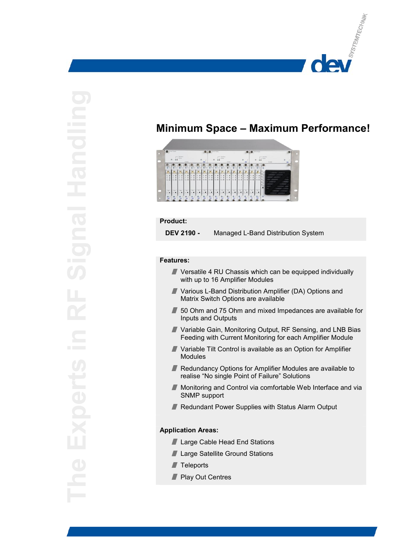

# **Minimum Space – Maximum Performance!**



## **Product:**

 **DEV 2190 -** Managed L-Band Distribution System

### **Features:**

- Versatile 4 RU Chassis which can be equipped individually with up to 16 Amplifier Modules
- Various L-Band Distribution Amplifier (DA) Options and Matrix Switch Options are available
- 50 Ohm and 75 Ohm and mixed Impedances are available for Inputs and Outputs
- Variable Gain, Monitoring Output, RF Sensing, and LNB Bias Feeding with Current Monitoring for each Amplifier Module
- Variable Tilt Control is available as an Option for Amplifier **Modules**
- Redundancy Options for Amplifier Modules are available to realise "No single Point of Failure" Solutions
- $\blacksquare$ Monitoring and Control via comfortable Web Interface and via SNMP support
- Redundant Power Supplies with Status Alarm Output

## **Application Areas:**

- **Large Cable Head End Stations**
- **Large Satellite Ground Stations**
- $\blacksquare$  Teleports
- Play Out Centres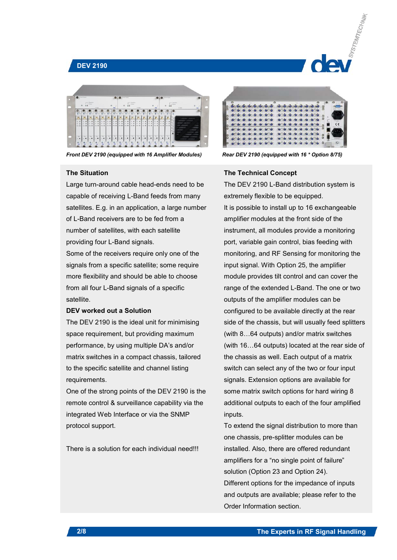## **DEV 2190**



*Front DEV 2190 (equipped with 16 Amplifier Modules) Rear DEV 2190 (equipped with 16 \* Option 8/75)*

## **The Situation**

Large turn-around cable head-ends need to be capable of receiving L-Band feeds from many satellites. E.g. in an application, a large number of L-Band receivers are to be fed from a number of satellites, with each satellite providing four L-Band signals.

Some of the receivers require only one of the signals from a specific satellite; some require more flexibility and should be able to choose from all four L-Band signals of a specific satellite.

#### **DEV worked out a Solution**

The DEV 2190 is the ideal unit for minimising space requirement, but providing maximum performance, by using multiple DA's and/or matrix switches in a compact chassis, tailored to the specific satellite and channel listing requirements.

One of the strong points of the DEV 2190 is the remote control & surveillance capability via the integrated Web Interface or via the SNMP protocol support.

There is a solution for each individual need!!!



## **The Technical Concept**

The DEV 2190 L-Band distribution system is extremely flexible to be equipped. It is possible to install up to 16 exchangeable amplifier modules at the front side of the instrument, all modules provide a monitoring port, variable gain control, bias feeding with monitoring, and RF Sensing for monitoring the input signal. With Option 25, the amplifier module provides tilt control and can cover the range of the extended L-Band. The one or two outputs of the amplifier modules can be configured to be available directly at the rear side of the chassis, but will usually feed splitters (with 8…64 outputs) and/or matrix switches (with 16…64 outputs) located at the rear side of the chassis as well. Each output of a matrix switch can select any of the two or four input signals. Extension options are available for some matrix switch options for hard wiring 8 additional outputs to each of the four amplified inputs.

To extend the signal distribution to more than one chassis, pre-splitter modules can be installed. Also, there are offered redundant amplifiers for a "no single point of failure" solution (Option 23 and Option 24). Different options for the impedance of inputs and outputs are available; please refer to the Order Information section.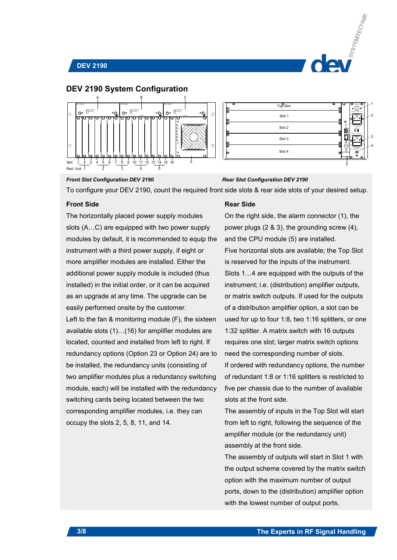





| w             | Top Slot | $\bullet$ $\bullet$<br>$^{(0)}$<br>œ<br>ы                         |
|---------------|----------|-------------------------------------------------------------------|
| $\frac{1}{2}$ | Slot 1   | O<br>Buggly 2 - Fuse 2 A1<br>-2                                   |
| 8<br>e<br>Go  | Slot 2   | 8<br>۰<br>$\overleftarrow{\textbf{o}}$<br>100.240 V =<br>ò<br>8   |
|               | Slot 3   | Supply 1 - Fuse 2 A1<br>-3<br>$\bullet$                           |
| 8<br>o        | Slot 4   | 8<br>Ç<br>WARNING:<br><b>CONTRACTOR</b><br>Ø<br><b>CT10</b><br>O. |
|               |          | 5                                                                 |

#### *Front Slot Configuration DEV 2190 Rear Slot Configuration DEV 2190*

To configure your DEV 2190, count the required front side slots & rear side slots of your desired setup.

## **Front Side**

The horizontally placed power supply modules slots (A…C) are equipped with two power supply modules by default, it is recommended to equip the instrument with a third power supply, if eight or more amplifier modules are installed. Either the additional power supply module is included (thus installed) in the initial order, or it can be acquired as an upgrade at any time. The upgrade can be easily performed onsite by the customer. Left to the fan & monitoring module (F), the sixteen available slots (1)…(16) for amplifier modules are located, counted and installed from left to right. If redundancy options (Option 23 or Option 24) are to be installed, the redundancy units (consisting of two amplifier modules plus a redundancy switching module, each) will be installed with the redundancy switching cards being located between the two corresponding amplifier modules, i.e. they can occupy the slots 2, 5, 8, 11, and 14.

### **Rear Side**

On the right side, the alarm connector (1), the power plugs (2 & 3), the grounding screw (4), and the CPU module (5) are installed. Five horizontal slots are available; the Top Slot is reserved for the inputs of the instrument. Slots 1…4 are equipped with the outputs of the instrument; i.e. (distribution) amplifier outputs, or matrix switch outputs. If used for the outputs of a distribution amplifier option, a slot can be used for up to four 1:8, two 1:16 splitters, or one 1:32 splitter. A matrix switch with 16 outputs requires one slot; larger matrix switch options need the corresponding number of slots. If ordered with redundancy options, the number of redundant 1:8 or 1:16 splitters is restricted to five per chassis due to the number of available slots at the front side.

The assembly of inputs in the Top Slot will start from left to right, following the sequence of the amplifier module (or the redundancy unit) assembly at the front side.

The assembly of outputs will start in Slot 1 with the output scheme covered by the matrix switch option with the maximum number of output ports, down to the (distribution) amplifier option with the lowest number of output ports.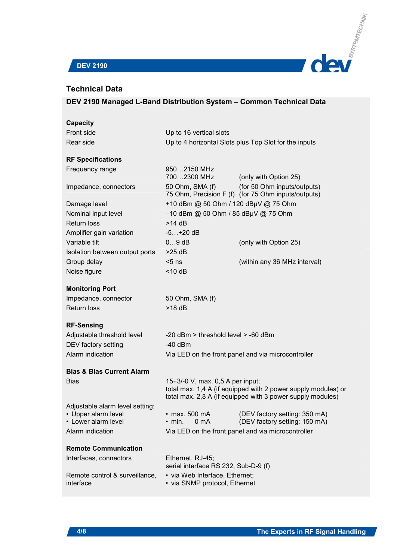

## **DEV 2190**

## **Technical Data**

| Capacity                                               |                                                                 |                                                                                                                             |  |  |  |  |
|--------------------------------------------------------|-----------------------------------------------------------------|-----------------------------------------------------------------------------------------------------------------------------|--|--|--|--|
| Front side                                             | Up to 16 vertical slots                                         |                                                                                                                             |  |  |  |  |
| Rear side                                              | Up to 4 horizontal Slots plus Top Slot for the inputs           |                                                                                                                             |  |  |  |  |
| <b>RF Specifications</b>                               |                                                                 |                                                                                                                             |  |  |  |  |
| Frequency range                                        | 9502150 MHz<br>7002300 MHz                                      | (only with Option 25)                                                                                                       |  |  |  |  |
| Impedance, connectors                                  | 50 Ohm, SMA (f)                                                 | (for 50 Ohm inputs/outputs)<br>75 Ohm, Precision F (f) (for 75 Ohm inputs/outputs)                                          |  |  |  |  |
| Damage level                                           | +10 dBm @ 50 Ohm / 120 dBµV @ 75 Ohm                            |                                                                                                                             |  |  |  |  |
| Nominal input level                                    | -10 dBm @ 50 Ohm / 85 dBµV @ 75 Ohm                             |                                                                                                                             |  |  |  |  |
| Return loss                                            | $>14$ dB                                                        |                                                                                                                             |  |  |  |  |
| Amplifier gain variation                               | $-5+20$ dB                                                      |                                                                                                                             |  |  |  |  |
| Variable tilt                                          | $09$ dB                                                         | (only with Option 25)                                                                                                       |  |  |  |  |
| Isolation between output ports                         | $>25$ dB                                                        |                                                                                                                             |  |  |  |  |
| Group delay                                            | $< 5$ ns                                                        | (within any 36 MHz interval)                                                                                                |  |  |  |  |
| Noise figure                                           | $<$ 10 dB                                                       |                                                                                                                             |  |  |  |  |
| <b>Monitoring Port</b>                                 |                                                                 |                                                                                                                             |  |  |  |  |
| Impedance, connector                                   | 50 Ohm, SMA (f)                                                 |                                                                                                                             |  |  |  |  |
| Return loss                                            | $>18$ dB                                                        |                                                                                                                             |  |  |  |  |
| <b>RF-Sensing</b>                                      |                                                                 |                                                                                                                             |  |  |  |  |
| Adjustable threshold level                             | -20 dBm > threshold level > -60 dBm                             |                                                                                                                             |  |  |  |  |
| DEV factory setting                                    | $-40$ dBm                                                       |                                                                                                                             |  |  |  |  |
| Alarm indication                                       |                                                                 | Via LED on the front panel and via microcontroller                                                                          |  |  |  |  |
| <b>Bias &amp; Bias Current Alarm</b>                   |                                                                 |                                                                                                                             |  |  |  |  |
| Bias                                                   | 15+3/-0 V, max. 0,5 A per input;                                | total max. 1,4 A (if equipped with 2 power supply modules) or<br>total max. 2,8 A (if equipped with 3 power supply modules) |  |  |  |  |
| Adjustable alarm level setting:<br>• Upper alarm level | $\cdot$ max. 500 mA                                             | (DEV factory setting: 350 mA)                                                                                               |  |  |  |  |
| • Lower alarm level                                    | 0 <sub>m</sub> A<br>$\cdot$ min.                                | (DEV factory setting: 150 mA)                                                                                               |  |  |  |  |
| Alarm indication                                       |                                                                 | Via LED on the front panel and via microcontroller                                                                          |  |  |  |  |
| <b>Remote Communication</b>                            |                                                                 |                                                                                                                             |  |  |  |  |
| Interfaces, connectors                                 | Ethernet, RJ-45;<br>serial interface RS 232, Sub-D-9 (f)        |                                                                                                                             |  |  |  |  |
| Remote control & surveillance,<br>interface            | • via Web Interface, Ethernet;<br>• via SNMP protocol, Ethernet |                                                                                                                             |  |  |  |  |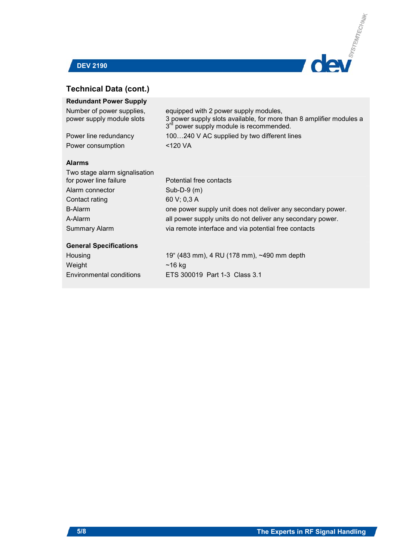



## **Technical Data (cont.)**

| <b>Redundant Power Supply</b>                           |                                                                                                                                                                     |
|---------------------------------------------------------|---------------------------------------------------------------------------------------------------------------------------------------------------------------------|
| Number of power supplies,<br>power supply module slots  | equipped with 2 power supply modules,<br>3 power supply slots available, for more than 8 amplifier modules a<br>3 <sup>rd</sup> power supply module is recommended. |
| Power line redundancy                                   | 100240 V AC supplied by two different lines                                                                                                                         |
| Power consumption                                       | <120 VA                                                                                                                                                             |
| <b>Alarms</b>                                           |                                                                                                                                                                     |
| Two stage alarm signalisation<br>for power line failure | Potential free contacts                                                                                                                                             |
| Alarm connector                                         | Sub-D-9 $(m)$                                                                                                                                                       |
| Contact rating                                          | 60 V; 0,3 A                                                                                                                                                         |
| <b>B-Alarm</b>                                          | one power supply unit does not deliver any secondary power.                                                                                                         |
| A-Alarm                                                 | all power supply units do not deliver any secondary power.                                                                                                          |
| <b>Summary Alarm</b>                                    | via remote interface and via potential free contacts                                                                                                                |
| <b>General Specifications</b>                           |                                                                                                                                                                     |
| Housing                                                 | 19" (483 mm), 4 RU (178 mm), ~490 mm depth                                                                                                                          |
| Weight                                                  | $~16$ kg                                                                                                                                                            |
| Environmental conditions                                | ETS 300019 Part 1-3 Class 3.1                                                                                                                                       |
|                                                         |                                                                                                                                                                     |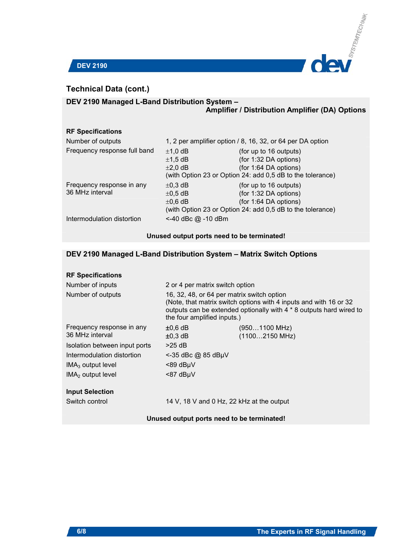

## **Technical Data (cont.)**

## **DEV 2190 Managed L-Band Distribution System –**

## **Amplifier / Distribution Amplifier (DA) Options**

## **RF Specifications**

| Number of outputs                            | 1, 2 per amplifier option / 8, 16, 32, or 64 per DA option |                                                                                                                                        |  |  |  |
|----------------------------------------------|------------------------------------------------------------|----------------------------------------------------------------------------------------------------------------------------------------|--|--|--|
| Frequency response full band                 | $±1,0$ dB<br>$\pm$ 1,5 dB<br>$\pm 2,0$ dB                  | (for up to 16 outputs)<br>(for 1:32 DA options)<br>(for 1:64 DA options)<br>(with Option 23 or Option 24: add 0,5 dB to the tolerance) |  |  |  |
| Frequency response in any<br>36 MHz interval | $\pm$ 0,3 dB<br>$\pm 0.5$ dB<br>$\pm 0.6$ dB               | (for up to 16 outputs)<br>(for 1:32 DA options)<br>(for 1:64 DA options)<br>(with Option 23 or Option 24: add 0,5 dB to the tolerance) |  |  |  |
| Intermodulation distortion                   | <-40 dBc @ -10 dBm                                         |                                                                                                                                        |  |  |  |

## **Unused output ports need to be terminated!**

## **DEV 2190 Managed L-Band Distribution System – Matrix Switch Options**

## **RF Specifications**

| Number of inputs              | 2 or 4 per matrix switch option                                                                                                                                                                                       |                          |  |  |  |  |
|-------------------------------|-----------------------------------------------------------------------------------------------------------------------------------------------------------------------------------------------------------------------|--------------------------|--|--|--|--|
| Number of outputs             | 16, 32, 48, or 64 per matrix switch option<br>(Note, that matrix switch options with 4 inputs and with 16 or 32<br>outputs can be extended optionally with 4 * 8 outputs hard wired to<br>the four amplified inputs.) |                          |  |  |  |  |
| Frequency response in any     | $±0,6$ dB                                                                                                                                                                                                             | (9501100 MHz)            |  |  |  |  |
| 36 MHz interval               | $\pm 0.3$ dB                                                                                                                                                                                                          | $(11002150 \text{ MHz})$ |  |  |  |  |
| Isolation between input ports | $>25$ dB                                                                                                                                                                                                              |                          |  |  |  |  |
| Intermodulation distortion    | $\le$ -35 dBc @ 85 dBµV                                                                                                                                                                                               |                          |  |  |  |  |
| $IMA3$ output level           | $<$ 89 dB $\mu$ V                                                                                                                                                                                                     |                          |  |  |  |  |
| $IMA2$ output level           | $< 87$ dB $\mu$ V                                                                                                                                                                                                     |                          |  |  |  |  |
| <b>Input Selection</b>        |                                                                                                                                                                                                                       |                          |  |  |  |  |
| Switch control                | 14 V, 18 V and 0 Hz, 22 kHz at the output                                                                                                                                                                             |                          |  |  |  |  |

## **Unused output ports need to be terminated!**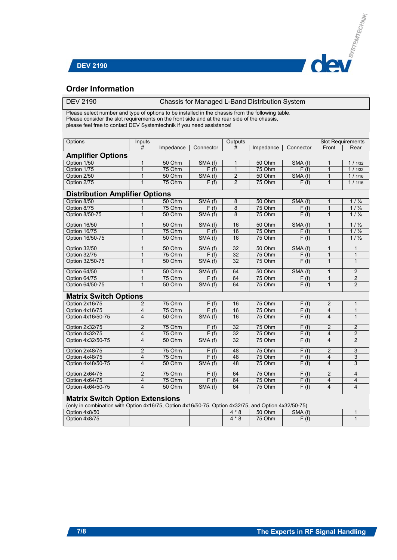

## **Order Information**

| <b>DEV 2190</b>                                                                                     |                                               | Chassis for Managed L-Band Distribution System |                   |                |           |                   |                         |                 |
|-----------------------------------------------------------------------------------------------------|-----------------------------------------------|------------------------------------------------|-------------------|----------------|-----------|-------------------|-------------------------|-----------------|
| Please select number and type of options to be installed in the chassis from the following table.   |                                               |                                                |                   |                |           |                   |                         |                 |
| Please consider the slot requirements on the front side and at the rear side of the chassis,        |                                               |                                                |                   |                |           |                   |                         |                 |
| please feel free to contact DEV Systemtechnik if you need assistance!                               |                                               |                                                |                   |                |           |                   |                         |                 |
|                                                                                                     |                                               |                                                |                   |                |           |                   |                         |                 |
| Options                                                                                             | Inputs<br>Outputs<br><b>Slot Requirements</b> |                                                |                   |                |           |                   |                         |                 |
|                                                                                                     | #                                             | Impedance                                      | Connector         | #              | Impedance | Connector         | Front                   | Rear            |
| <b>Amplifier Options</b>                                                                            |                                               |                                                |                   |                |           |                   |                         |                 |
| Option 1/50                                                                                         | $\mathbf{1}$                                  | 50 Ohm                                         | SMA (f)           | $\mathbf{1}$   | 50 Ohm    | SMA (f)           | $\mathbf{1}$            | 1 / 1/32        |
| Option 1/75                                                                                         | $\mathbf 1$                                   | 75 Ohm                                         | F(f)              | $\mathbf{1}$   | 75 Ohm    | F(f)              | 1                       | 1 / 1/32        |
| Option 2/50                                                                                         | $\mathbf{1}$                                  | 50 Ohm                                         | SMA (f)           | $\overline{2}$ | 50 Ohm    | SMA (f)           | $\mathbf{1}$            | 1 / 1/16        |
| Option 2/75                                                                                         | $\mathbf{1}$                                  | 75 Ohm                                         | F(f)              | $\overline{2}$ | 75 Ohm    | F(f)              | $\mathbf{1}$            | 1 / 1/16        |
|                                                                                                     |                                               |                                                |                   |                |           |                   |                         |                 |
| <b>Distribution Amplifier Options</b>                                                               |                                               |                                                |                   |                |           |                   |                         |                 |
| Option 8/50                                                                                         | 1                                             | 50 Ohm                                         | SMA (f)           | 8              | 50 Ohm    | SMA (f)           | $\mathbf{1}$            | $11\frac{1}{4}$ |
| Option 8/75                                                                                         | 1                                             | 75 Ohm                                         | F(f)              | 8              | 75 Ohm    | F(f)              | $\mathbf{1}$            | $11\frac{1}{4}$ |
| Option 8/50-75                                                                                      | $\mathbf{1}$                                  | 50 Ohm                                         | SMA (f)           | 8              | 75 Ohm    | F(f)              | $\overline{1}$          | 1/1/4           |
| Option 16/50                                                                                        | $\overline{1}$                                | 50 Ohm                                         | SMA (f)           | 16             | 50 Ohm    | SMA (f)           | $\mathbf{1}$            | 1/1/2           |
| Option 16/75                                                                                        | $\mathbf{1}$                                  | 75 Ohm                                         | F(f)              | 16             | 75 Ohm    | F(f)              | $\overline{1}$          | $11\frac{1}{2}$ |
| Option 16/50-75                                                                                     | $\overline{1}$                                | 50 Ohm                                         | SMA(f)            | 16             | 75 Ohm    | F(f)              | $\overline{1}$          | $11\frac{1}{2}$ |
| Option 32/50                                                                                        | 1                                             | 50 Ohm                                         | SMA (f)           | 32             | 50 Ohm    | SMA (f)           | 1                       | 1               |
| Option 32/75                                                                                        | $\mathbf{1}$                                  | 75 Ohm                                         | F(f)              | 32             | 75 Ohm    | F(f)              | $\overline{1}$          | $\overline{1}$  |
| Option 32/50-75                                                                                     | $\mathbf{1}$                                  | 50 Ohm                                         | SMA (f)           | 32             | 75 Ohm    | F(f)              | $\mathbf{1}$            | $\mathbf{1}$    |
| Option 64/50                                                                                        | $\mathbf 1$                                   | 50 Ohm                                         | SMA (f)           | 64             | 50 Ohm    | SMA (f)           | $\mathbf{1}$            | $\overline{c}$  |
| Option 64/75                                                                                        | 1                                             | 75 Ohm                                         | F(f)              | 64             | 75 Ohm    | F(f)              | $\mathbf{1}$            | $\overline{2}$  |
| Option 64/50-75                                                                                     | $\overline{1}$                                | 50 Ohm                                         | SMA (f)           | 64             | 75 Ohm    | F(t)              | $\overline{1}$          | $\overline{2}$  |
| <b>Matrix Switch Options</b>                                                                        |                                               |                                                |                   |                |           |                   |                         |                 |
| Option 2x16/75                                                                                      | $\overline{2}$                                | 75 Ohm                                         | F(f)              | 16             | 75 Ohm    | F(f)              | $\overline{c}$          | 1               |
| Option 4x16/75                                                                                      | 4                                             | 75 Ohm                                         | F(f)              | 16             | 75 Ohm    | F(f)              | $\overline{4}$          | $\mathbf{1}$    |
| Option 4x16/50-75                                                                                   | 4                                             | 50 Ohm                                         | SMA(f)            | 16             | 75 Ohm    | $\overline{F(f)}$ | $\overline{4}$          | $\mathbf{1}$    |
| Option 2x32/75                                                                                      | $\overline{2}$                                | 75 Ohm                                         | F(f)              | 32             | 75 Ohm    | F(f)              | $\overline{2}$          | $\overline{2}$  |
| Option 4x32/75                                                                                      | $\overline{4}$                                | 75 Ohm                                         | F(f)              | 32             | 75 Ohm    | F(f)              | $\overline{4}$          | $\overline{2}$  |
| Option 4x32/50-75                                                                                   | $\overline{4}$                                | 50 Ohm                                         | SMA(f)            | 32             | 75 Ohm    | F(f)              | $\overline{4}$          | 2               |
| Option 2x48/75                                                                                      | $\overline{2}$                                | 75 Ohm                                         | F(f)              | 48             | 75 Ohm    | F(f)              | $\overline{2}$          | 3               |
| Option 4x48/75                                                                                      | 4                                             | 75 Ohm                                         | F(f)              | 48             | 75 Ohm    | F(f)              | 4                       | 3               |
| Option 4x48/50-75                                                                                   | 4                                             | 50 Ohm                                         | SMA (f)           | 48             | 75 Ohm    | F(f)              | $\overline{4}$          | 3               |
| Option 2x64/75                                                                                      | $\overline{c}$                                | 75 Ohm                                         | F(f)              | 64             | 75 Ohm    | $\overline{F(f)}$ | $\overline{2}$          | 4               |
| Option 4x64/75                                                                                      | 4                                             | 75 Ohm                                         | $\overline{F(f)}$ | 64             | 75 Ohm    | F(f)              | $\overline{\mathbf{4}}$ | 4               |
| Option 4x64/50-75                                                                                   | $\overline{\mathbf{4}}$                       | 50 Ohm                                         | SMA (f)           | 64             | 75 Ohm    | F(f)              | $\overline{4}$          | $\overline{4}$  |
| <b>Matrix Switch Option Extensions</b>                                                              |                                               |                                                |                   |                |           |                   |                         |                 |
| (only in combination with Option 4x16/75, Option 4x16/50-75, Option 4x32/75, and Option 4x32/50-75) |                                               |                                                |                   |                |           |                   |                         |                 |
| Option 4x8/50                                                                                       |                                               |                                                |                   | $4 * 8$        | 50 Ohm    | SMA (f)           |                         | 1               |
| Option 4x8/75                                                                                       |                                               |                                                |                   | $4 * 8$        | 75 Ohm    | F(f)              |                         | $\overline{1}$  |
|                                                                                                     |                                               |                                                |                   |                |           |                   |                         |                 |